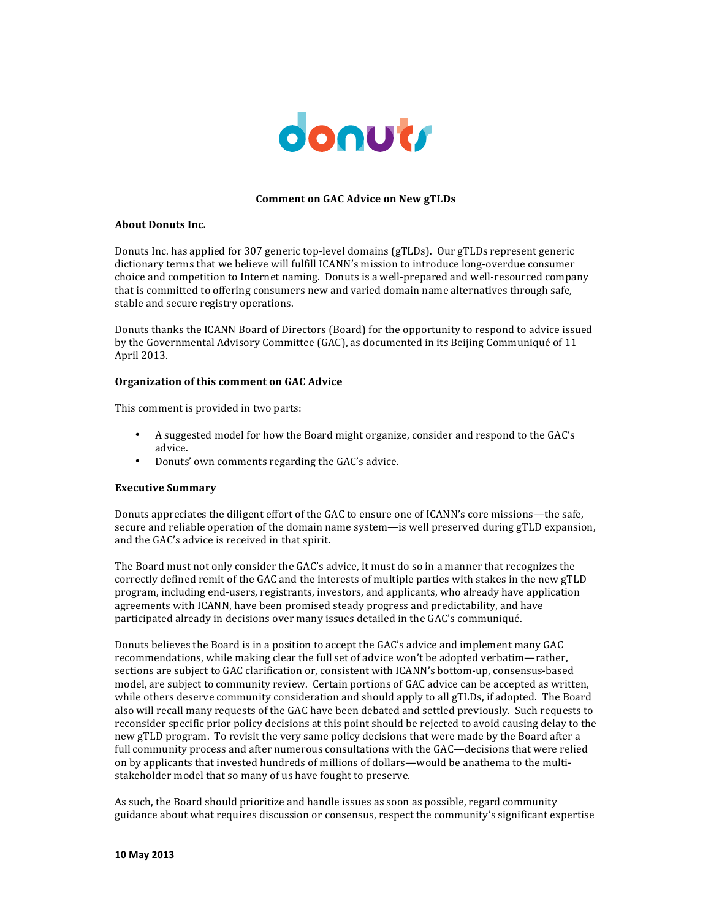

# **Comment on GAC Advice on New gTLDs**

# **About Donuts Inc.**

Donuts Inc. has applied for 307 generic top-level domains (gTLDs). Our gTLDs represent generic dictionary terms that we believe will fulfill ICANN's mission to introduce long-overdue consumer choice and competition to Internet naming. Donuts is a well-prepared and well-resourced company that is committed to offering consumers new and varied domain name alternatives through safe, stable and secure registry operations.

Donuts thanks the ICANN Board of Directors (Board) for the opportunity to respond to advice issued by the Governmental Advisory Committee (GAC), as documented in its Beijing Communiqué of 11 April 2013.

## **Organization of this comment on GAC Advice**

This comment is provided in two parts:

- A suggested model for how the Board might organize, consider and respond to the GAC's advice.
- Donuts' own comments regarding the GAC's advice.

# **Executive Summary**

Donuts appreciates the diligent effort of the GAC to ensure one of ICANN's core missions—the safe, secure and reliable operation of the domain name system—is well preserved during gTLD expansion, and the GAC's advice is received in that spirit.

The Board must not only consider the GAC's advice, it must do so in a manner that recognizes the correctly defined remit of the GAC and the interests of multiple parties with stakes in the new gTLD program, including end-users, registrants, investors, and applicants, who already have application agreements with ICANN, have been promised steady progress and predictability, and have participated already in decisions over many issues detailed in the GAC's communiqué.

Donuts believes the Board is in a position to accept the GAC's advice and implement many GAC recommendations, while making clear the full set of advice won't be adopted verbatim—rather, sections are subject to GAC clarification or, consistent with ICANN's bottom-up, consensus-based model, are subject to community review. Certain portions of GAC advice can be accepted as written, while others deserve community consideration and should apply to all gTLDs, if adopted. The Board also will recall many requests of the GAC have been debated and settled previously. Such requests to reconsider specific prior policy decisions at this point should be rejected to avoid causing delay to the new gTLD program. To revisit the very same policy decisions that were made by the Board after a full community process and after numerous consultations with the GAC—decisions that were relied on by applicants that invested hundreds of millions of dollars—would be anathema to the multistakeholder model that so many of us have fought to preserve.

As such, the Board should prioritize and handle issues as soon as possible, regard community guidance about what requires discussion or consensus, respect the community's significant expertise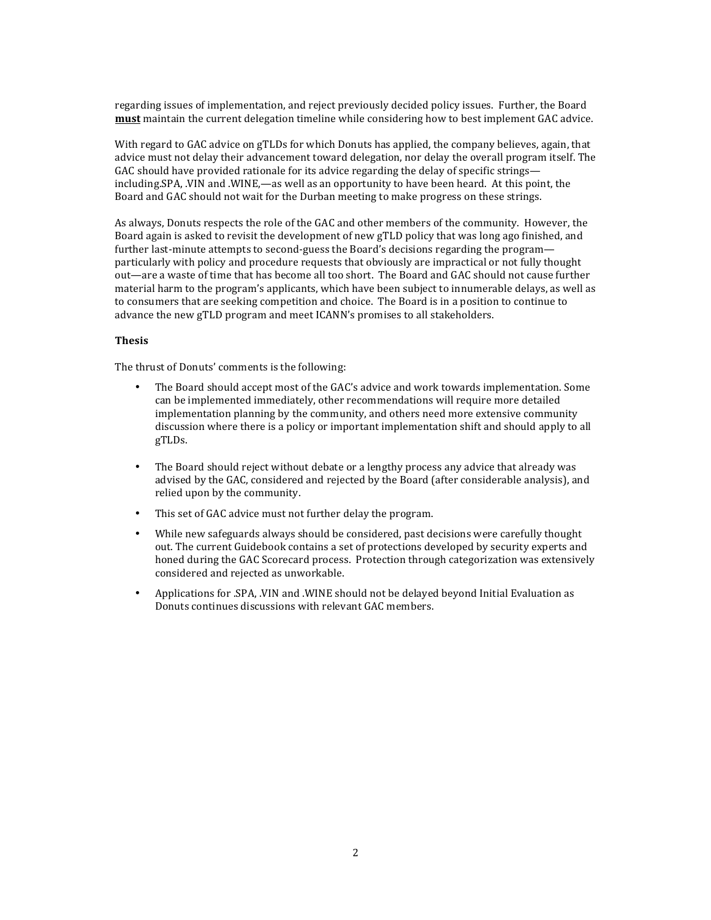regarding issues of implementation, and reject previously decided policy issues. Further, the Board **must** maintain the current delegation timeline while considering how to best implement GAC advice.

With regard to GAC advice on gTLDs for which Donuts has applied, the company believes, again, that advice must not delay their advancement toward delegation, nor delay the overall program itself. The GAC should have provided rationale for its advice regarding the delay of specific strings including.SPA, .VIN and .WINE,—as well as an opportunity to have been heard. At this point, the Board and GAC should not wait for the Durban meeting to make progress on these strings.

As always, Donuts respects the role of the GAC and other members of the community. However, the Board again is asked to revisit the development of new gTLD policy that was long ago finished, and further last-minute attempts to second-guess the Board's decisions regarding the program particularly with policy and procedure requests that obviously are impractical or not fully thought out—are a waste of time that has become all too short. The Board and GAC should not cause further material harm to the program's applicants, which have been subject to innumerable delays, as well as to consumers that are seeking competition and choice. The Board is in a position to continue to advance the new gTLD program and meet ICANN's promises to all stakeholders.

## **Thesis**

The thrust of Donuts' comments is the following:

- The Board should accept most of the GAC's advice and work towards implementation. Some can be implemented immediately, other recommendations will require more detailed implementation planning by the community, and others need more extensive community discussion where there is a policy or important implementation shift and should apply to all gTLDs.
- The Board should reject without debate or a lengthy process any advice that already was advised by the GAC, considered and rejected by the Board (after considerable analysis), and relied upon by the community.
- This set of GAC advice must not further delay the program.
- While new safeguards always should be considered, past decisions were carefully thought out. The current Guidebook contains a set of protections developed by security experts and honed during the GAC Scorecard process. Protection through categorization was extensively considered and rejected as unworkable.
- Applications for .SPA, .VIN and .WINE should not be delayed beyond Initial Evaluation as Donuts continues discussions with relevant GAC members.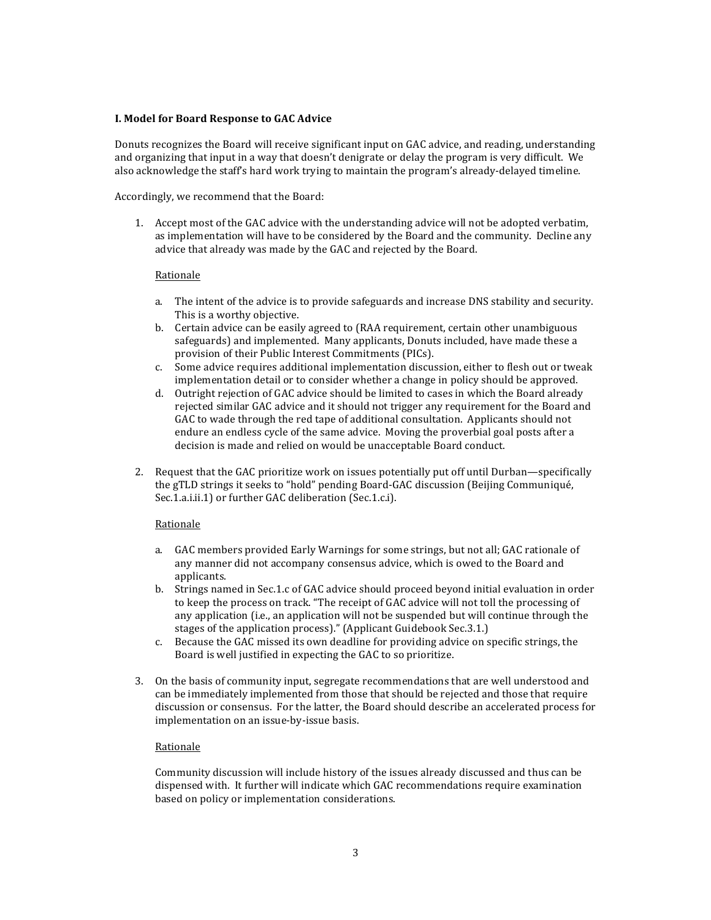# **I. Model for Board Response to GAC Advice**

Donuts recognizes the Board will receive significant input on GAC advice, and reading, understanding and organizing that input in a way that doesn't denigrate or delay the program is very difficult. We also acknowledge the staff's hard work trying to maintain the program's already-delayed timeline.

Accordingly, we recommend that the Board:

1. Accept most of the GAC advice with the understanding advice will not be adopted verbatim, as implementation will have to be considered by the Board and the community. Decline any advice that already was made by the GAC and rejected by the Board.

## **Rationale**

- a. The intent of the advice is to provide safeguards and increase DNS stability and security. This is a worthy objective.
- b. Certain advice can be easily agreed to (RAA requirement, certain other unambiguous safeguards) and implemented. Many applicants, Donuts included, have made these a provision of their Public Interest Commitments (PICs).
- c. Some advice requires additional implementation discussion, either to flesh out or tweak implementation detail or to consider whether a change in policy should be approved.
- d. Outright rejection of GAC advice should be limited to cases in which the Board already rejected similar GAC advice and it should not trigger any requirement for the Board and GAC to wade through the red tape of additional consultation. Applicants should not endure an endless cycle of the same advice. Moving the proverbial goal posts after a decision is made and relied on would be unacceptable Board conduct.
- 2. Request that the GAC prioritize work on issues potentially put off until Durban—specifically the gTLD strings it seeks to "hold" pending Board-GAC discussion (Beijing Communiqué, Sec.1.a.i.ii.1) or further GAC deliberation (Sec.1.c.i).

# Rationale

- a. GAC members provided Early Warnings for some strings, but not all; GAC rationale of any manner did not accompany consensus advice, which is owed to the Board and applicants.
- b. Strings named in Sec.1.c of GAC advice should proceed beyond initial evaluation in order to keep the process on track. "The receipt of GAC advice will not toll the processing of any application (i.e., an application will not be suspended but will continue through the stages of the application process)." (Applicant Guidebook Sec.3.1.)
- c. Because the GAC missed its own deadline for providing advice on specific strings, the Board is well justified in expecting the GAC to so prioritize.
- 3. On the basis of community input, segregate recommendations that are well understood and can be immediately implemented from those that should be rejected and those that require discussion or consensus. For the latter, the Board should describe an accelerated process for implementation on an issue-by-issue basis.

# Rationale

Community discussion will include history of the issues already discussed and thus can be dispensed with. It further will indicate which GAC recommendations require examination based on policy or implementation considerations.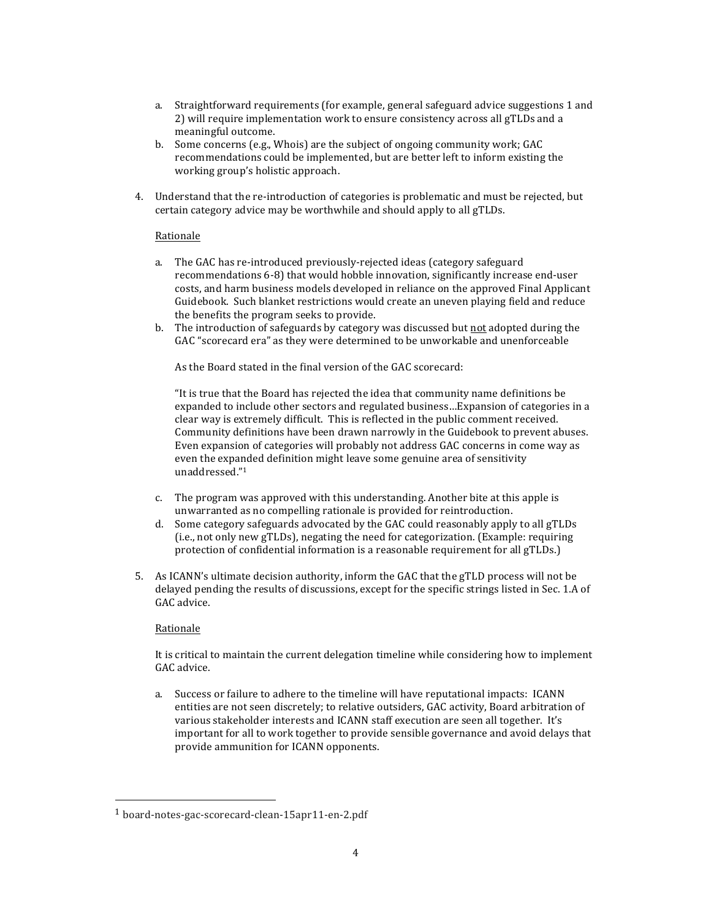- a. Straightforward requirements (for example, general safeguard advice suggestions 1 and 2) will require implementation work to ensure consistency across all gTLDs and a meaningful outcome.
- b. Some concerns (e.g., Whois) are the subject of ongoing community work; GAC recommendations could be implemented, but are better left to inform existing the working group's holistic approach.
- 4. Understand that the re-introduction of categories is problematic and must be rejected, but certain category advice may be worthwhile and should apply to all gTLDs.

# Rationale

- a. The GAC has re-introduced previously-rejected ideas (category safeguard recommendations 6-8) that would hobble innovation, significantly increase end-user costs, and harm business models developed in reliance on the approved Final Applicant Guidebook. Such blanket restrictions would create an uneven playing field and reduce the benefits the program seeks to provide.
- b. The introduction of safeguards by category was discussed but not adopted during the GAC "scorecard era" as they were determined to be unworkable and unenforceable

As the Board stated in the final version of the GAC scorecard:

"It is true that the Board has rejected the idea that community name definitions be expanded to include other sectors and regulated business... Expansion of categories in a clear way is extremely difficult. This is reflected in the public comment received. Community definitions have been drawn narrowly in the Guidebook to prevent abuses. Even expansion of categories will probably not address GAC concerns in come way as even the expanded definition might leave some genuine area of sensitivity unaddressed."1

- c. The program was approved with this understanding. Another bite at this apple is unwarranted as no compelling rationale is provided for reintroduction.
- d. Some category safeguards advocated by the GAC could reasonably apply to all gTLDs (i.e., not only new gTLDs), negating the need for categorization. (Example: requiring protection of confidential information is a reasonable requirement for all gTLDs.)
- 5. As ICANN's ultimate decision authority, inform the GAC that the gTLD process will not be delayed pending the results of discussions, except for the specific strings listed in Sec. 1.A of GAC advice.

# Rationale

It is critical to maintain the current delegation timeline while considering how to implement GAC advice.

a. Success or failure to adhere to the timeline will have reputational impacts: ICANN entities are not seen discretely; to relative outsiders, GAC activity, Board arbitration of various stakeholder interests and ICANN staff execution are seen all together. It's important for all to work together to provide sensible governance and avoid delays that provide ammunition for ICANN opponents.

 $1$  board-notes-gac-scorecard-clean-15apr11-en-2.pdf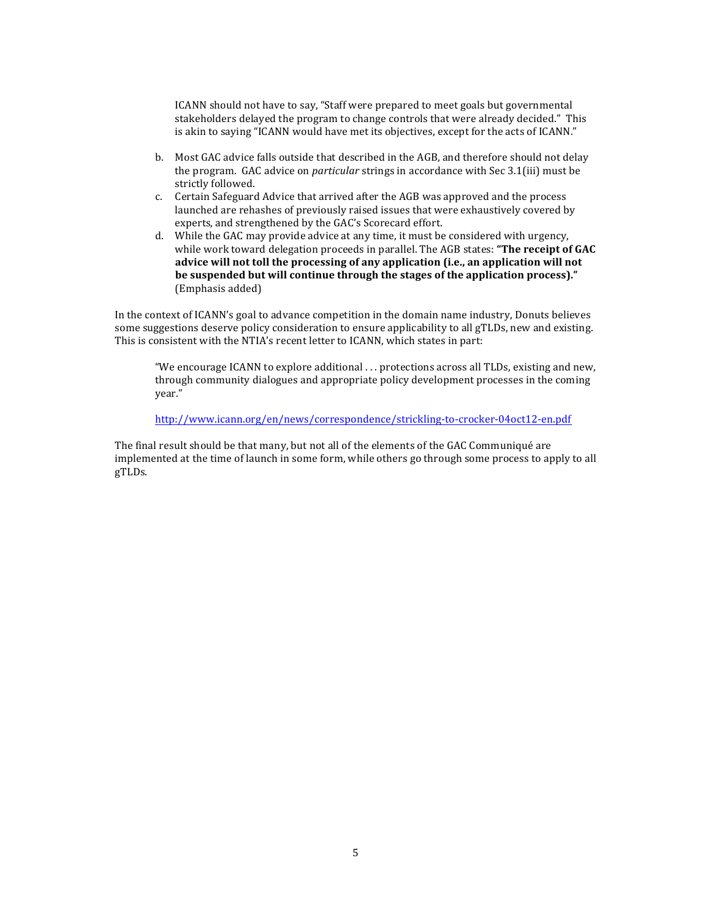ICANN should not have to say, "Staff were prepared to meet goals but governmental stakeholders delayed the program to change controls that were already decided." This is akin to saying "ICANN would have met its objectives, except for the acts of ICANN."

- b. Most GAC advice falls outside that described in the AGB, and therefore should not delay the program. GAC advice on *particular* strings in accordance with Sec 3.1(iii) must be strictly followed.
- c. Certain Safeguard Advice that arrived after the AGB was approved and the process launched are rehashes of previously raised issues that were exhaustively covered by experts, and strengthened by the GAC's Scorecard effort.
- d. While the GAC may provide advice at any time, it must be considered with urgency, while work toward delegation proceeds in parallel. The AGB states: "The receipt of GAC advice will not toll the processing of any application (i.e., an application will not be suspended but will continue through the stages of the application process)." (Emphasis added)

In the context of ICANN's goal to advance competition in the domain name industry, Donuts believes some suggestions deserve policy consideration to ensure applicability to all gTLDs, new and existing. This is consistent with the NTIA's recent letter to ICANN, which states in part:

"We encourage ICANN to explore additional ... protections across all TLDs, existing and new, through community dialogues and appropriate policy development processes in the coming year."

http://www.icann.org/en/news/correspondence/strickling-to-crocker-04oct12-en.pdf

The final result should be that many, but not all of the elements of the GAC Communiqué are implemented at the time of launch in some form, while others go through some process to apply to all gTLDs.!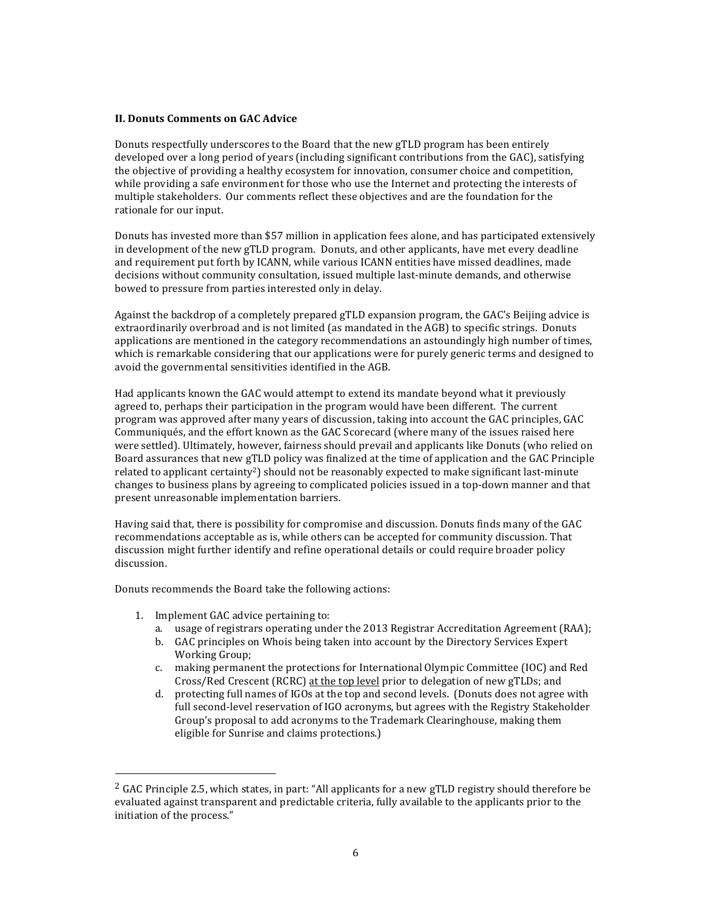## **II. Donuts Comments on GAC Advice**

Donuts respectfully underscores to the Board that the new gTLD program has been entirely developed over a long period of years (including significant contributions from the GAC), satisfying the objective of providing a healthy ecosystem for innovation, consumer choice and competition, while providing a safe environment for those who use the Internet and protecting the interests of multiple stakeholders. Our comments reflect these objectives and are the foundation for the rationale for our input.

Donuts has invested more than \$57 million in application fees alone, and has participated extensively in development of the new gTLD program. Donuts, and other applicants, have met every deadline and requirement put forth by ICANN, while various ICANN entities have missed deadlines, made decisions without community consultation, issued multiple last-minute demands, and otherwise bowed to pressure from parties interested only in delay.

Against the backdrop of a completely prepared gTLD expansion program, the GAC's Beijing advice is extraordinarily overbroad and is not limited (as mandated in the AGB) to specific strings. Donuts applications are mentioned in the category recommendations an astoundingly high number of times, which is remarkable considering that our applications were for purely generic terms and designed to avoid the governmental sensitivities identified in the AGB.

Had applicants known the GAC would attempt to extend its mandate beyond what it previously agreed to, perhaps their participation in the program would have been different. The current program was approved after many years of discussion, taking into account the GAC principles, GAC Communiqués, and the effort known as the GAC Scorecard (where many of the issues raised here were settled). Ultimately, however, fairness should prevail and applicants like Donuts (who relied on Board assurances that new gTLD policy was finalized at the time of application and the GAC Principle related to applicant certainty<sup>2</sup>) should not be reasonably expected to make significant last-minute changes to business plans by agreeing to complicated policies issued in a top-down manner and that present unreasonable implementation barriers.

Having said that, there is possibility for compromise and discussion. Donuts finds many of the GAC recommendations acceptable as is, while others can be accepted for community discussion. That discussion might further identify and refine operational details or could require broader policy discussion.

Donuts recommends the Board take the following actions:

1. Implement GAC advice pertaining to:

- a. usage of registrars operating under the 2013 Registrar Accreditation Agreement (RAA);
- b. GAC principles on Whois being taken into account by the Directory Services Expert Working Group;
- c. making permanent the protections for International Olympic Committee (IOC) and Red Cross/Red Crescent (RCRC) at the top level prior to delegation of new gTLDs; and
- d. protecting full names of IGOs at the top and second levels. (Donuts does not agree with full second-level reservation of IGO acronyms, but agrees with the Registry Stakeholder Group's proposal to add acronyms to the Trademark Clearinghouse, making them eligible for Sunrise and claims protections.)

<sup>&</sup>lt;sup>2</sup> GAC Principle 2.5, which states, in part: "All applicants for a new gTLD registry should therefore be evaluated against transparent and predictable criteria, fully available to the applicants prior to the initiation of the process."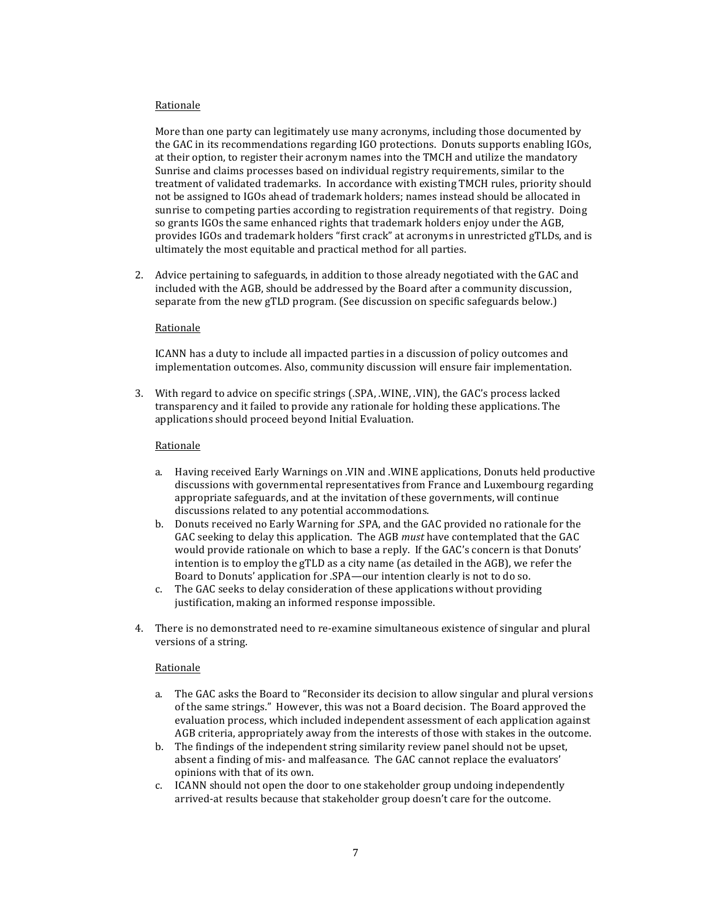# Rationale

More than one party can legitimately use many acronyms, including those documented by the GAC in its recommendations regarding IGO protections. Donuts supports enabling IGOs, at their option, to register their acronym names into the TMCH and utilize the mandatory Sunrise and claims processes based on individual registry requirements, similar to the treatment of validated trademarks. In accordance with existing TMCH rules, priority should not be assigned to IGOs ahead of trademark holders; names instead should be allocated in sunrise to competing parties according to registration requirements of that registry. Doing so grants IGOs the same enhanced rights that trademark holders enjoy under the AGB, provides IGOs and trademark holders "first crack" at acronyms in unrestricted gTLDs, and is ultimately the most equitable and practical method for all parties.

2. Advice pertaining to safeguards, in addition to those already negotiated with the GAC and included with the AGB, should be addressed by the Board after a community discussion, separate from the new gTLD program. (See discussion on specific safeguards below.)

# Rationale

ICANN has a duty to include all impacted parties in a discussion of policy outcomes and implementation outcomes. Also, community discussion will ensure fair implementation.

3. With regard to advice on specific strings (.SPA, .WINE, .VIN), the GAC's process lacked transparency and it failed to provide any rationale for holding these applications. The applications should proceed beyond Initial Evaluation.

## Rationale

- a. Having received Early Warnings on .VIN and .WINE applications, Donuts held productive discussions with governmental representatives from France and Luxembourg regarding appropriate safeguards, and at the invitation of these governments, will continue discussions related to any potential accommodations.
- b. Donuts received no Early Warning for .SPA, and the GAC provided no rationale for the GAC seeking to delay this application. The AGB *must* have contemplated that the GAC would provide rationale on which to base a reply. If the GAC's concern is that Donuts' intention is to employ the gTLD as a city name (as detailed in the  $AGB$ ), we refer the Board to Donuts' application for .SPA—our intention clearly is not to do so.
- c. The GAC seeks to delay consideration of these applications without providing justification, making an informed response impossible.
- 4. There is no demonstrated need to re-examine simultaneous existence of singular and plural versions of a string.

#### Rationale

- a. The GAC asks the Board to "Reconsider its decision to allow singular and plural versions of the same strings." However, this was not a Board decision. The Board approved the evaluation process, which included independent assessment of each application against AGB criteria, appropriately away from the interests of those with stakes in the outcome.
- b. The findings of the independent string similarity review panel should not be upset, absent a finding of mis- and malfeasance. The GAC cannot replace the evaluators' opinions with that of its own.
- c. ICANN should not open the door to one stakeholder group undoing independently arrived-at results because that stakeholder group doesn't care for the outcome.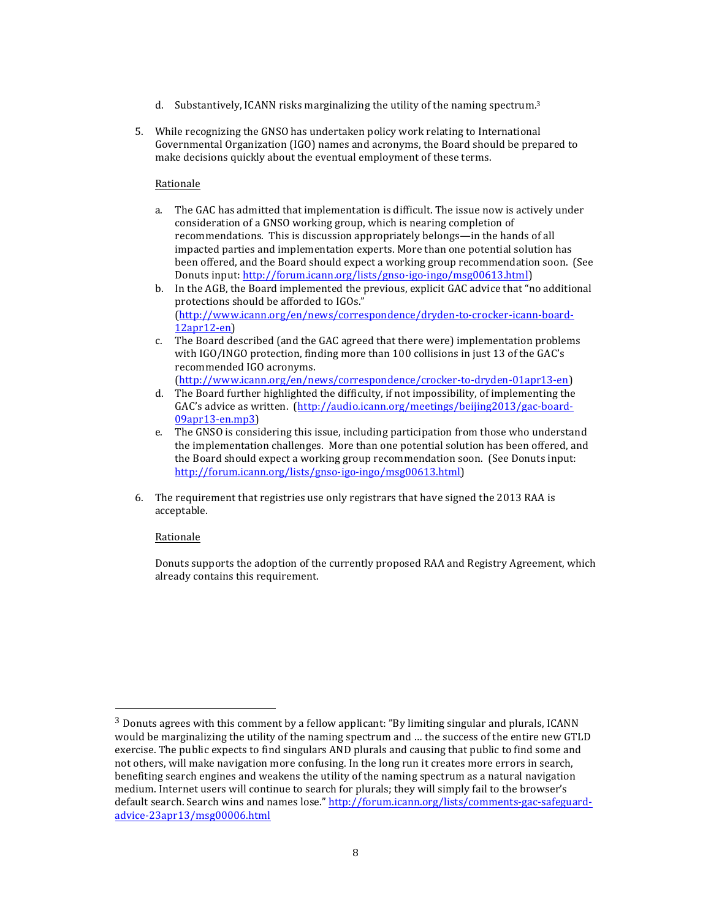- d. Substantively, ICANN risks marginalizing the utility of the naming spectrum.<sup>3</sup>
- 5. While recognizing the GNSO has undertaken policy work relating to International Governmental Organization (IGO) names and acronyms, the Board should be prepared to make decisions quickly about the eventual employment of these terms.

# Rationale

- a. The GAC has admitted that implementation is difficult. The issue now is actively under consideration of a GNSO working group, which is nearing completion of recommendations. This is discussion appropriately belongs—in the hands of all impacted parties and implementation experts. More than one potential solution has been offered, and the Board should expect a working group recommendation soon. (See Donuts input: http://forum.icann.org/lists/gnso-igo-ingo/msg00613.html)
- b. In the AGB, the Board implemented the previous, explicit GAC advice that "no additional" protections should be afforded to IGOs." (http://www.icann.org/en/news/correspondence/dryden-to-crocker-icann-board- $12apr12-en)$
- c. The Board described (and the GAC agreed that there were) implementation problems with IGO/INGO protection, finding more than 100 collisions in just 13 of the GAC's recommended IGO acronyms.

(http://www.icann.org/en/news/correspondence/crocker-to-dryden-01apr13-en)

- d. The Board further highlighted the difficulty, if not impossibility, of implementing the GAC's advice as written. (http://audio.icann.org/meetings/beijing2013/gac-board-09apr13-en.mp3)
- e. The GNSO is considering this issue, including participation from those who understand the implementation challenges. More than one potential solution has been offered, and the Board should expect a working group recommendation soon. (See Donuts input: http://forum.icann.org/lists/gnso-igo-ingo/msg00613.html)
- 6. The requirement that registries use only registrars that have signed the 2013 RAA is acceptable.

# Rationale

!!!!!!!!!!!!!!!!!!!!!!!!!!!!!!!!!!!!!!!!!!!!!!!!!!!!!!!

Donuts supports the adoption of the currently proposed RAA and Registry Agreement, which already contains this requirement.

 $3$  Donuts agrees with this comment by a fellow applicant: "By limiting singular and plurals, ICANN would be marginalizing the utility of the naming spectrum and ... the success of the entire new GTLD exercise. The public expects to find singulars AND plurals and causing that public to find some and not others, will make navigation more confusing. In the long run it creates more errors in search, benefiting search engines and weakens the utility of the naming spectrum as a natural navigation medium. Internet users will continue to search for plurals; they will simply fail to the browser's default search. Search wins and names lose." http://forum.icann.org/lists/comments-gac-safeguardadvice-23apr13/msg00006.html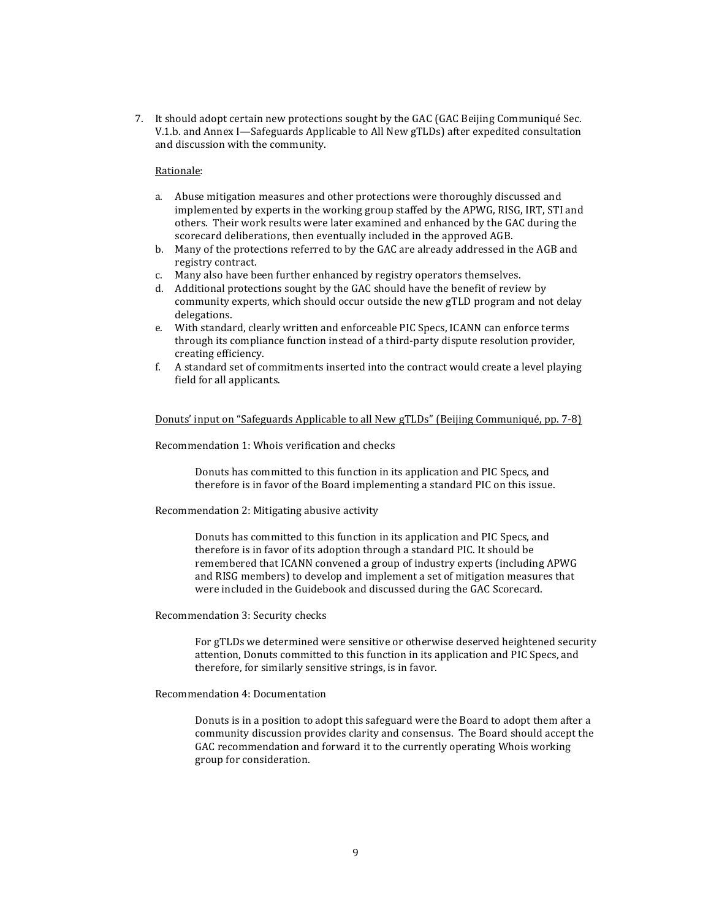7. It should adopt certain new protections sought by the GAC (GAC Beijing Communiqué Sec. V.1.b. and Annex I—Safeguards Applicable to All New gTLDs) after expedited consultation and discussion with the community.

## Rationale:

- a. Abuse mitigation measures and other protections were thoroughly discussed and implemented by experts in the working group staffed by the APWG, RISG, IRT, STI and others. Their work results were later examined and enhanced by the GAC during the scorecard deliberations, then eventually included in the approved AGB.
- b. Many of the protections referred to by the GAC are already addressed in the AGB and registry contract.
- c. Many also have been further enhanced by registry operators themselves.
- d. Additional protections sought by the GAC should have the benefit of review by community experts, which should occur outside the new gTLD program and not delay delegations.
- e. With standard, clearly written and enforceable PIC Specs, ICANN can enforce terms through its compliance function instead of a third-party dispute resolution provider, creating!efficiency.
- f. A standard set of commitments inserted into the contract would create a level playing field for all applicants.

## Donuts' input on "Safeguards Applicable to all New gTLDs" (Beijing Communiqué, pp. 7-8)

#### Recommendation 1: Whois verification and checks

Donuts has committed to this function in its application and PIC Specs, and therefore is in favor of the Board implementing a standard PIC on this issue.

## Recommendation 2: Mitigating abusive activity

Donuts has committed to this function in its application and PIC Specs, and therefore is in favor of its adoption through a standard PIC. It should be remembered that ICANN convened a group of industry experts (including APWG and RISG members) to develop and implement a set of mitigation measures that were included in the Guidebook and discussed during the GAC Scorecard.

Recommendation 3: Security checks

For gTLDs we determined were sensitive or otherwise deserved heightened security attention, Donuts committed to this function in its application and PIC Specs, and therefore, for similarly sensitive strings, is in favor.

#### Recommendation 4: Documentation

Donuts is in a position to adopt this safeguard were the Board to adopt them after a community discussion provides clarity and consensus. The Board should accept the GAC recommendation and forward it to the currently operating Whois working group for consideration.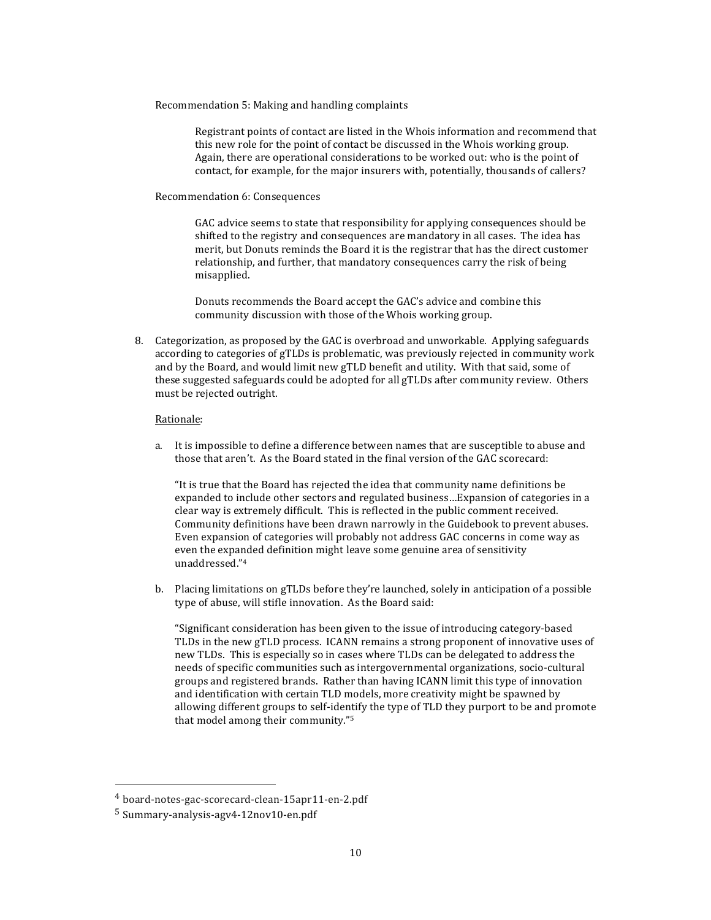Recommendation 5: Making and handling complaints

Registrant points of contact are listed in the Whois information and recommend that this new role for the point of contact be discussed in the Whois working group. Again, there are operational considerations to be worked out: who is the point of contact, for example, for the major insurers with, potentially, thousands of callers?

#### Recommendation 6: Consequences

GAC advice seems to state that responsibility for applying consequences should be shifted to the registry and consequences are mandatory in all cases. The idea has merit, but Donuts reminds the Board it is the registrar that has the direct customer relationship, and further, that mandatory consequences carry the risk of being misapplied.

Donuts recommends the Board accept the GAC's advice and combine this community discussion with those of the Whois working group.

8. Categorization, as proposed by the GAC is overbroad and unworkable. Applying safeguards according to categories of gTLDs is problematic, was previously rejected in community work and by the Board, and would limit new gTLD benefit and utility. With that said, some of these suggested safeguards could be adopted for all gTLDs after community review. Others must be rejected outright.

#### Rationale:

a. It is impossible to define a difference between names that are susceptible to abuse and those that aren't. As the Board stated in the final version of the GAC scorecard:

"It is true that the Board has rejected the idea that community name definitions be expanded to include other sectors and regulated business...Expansion of categories in a clear way is extremely difficult. This is reflected in the public comment received. Community definitions have been drawn narrowly in the Guidebook to prevent abuses. Even expansion of categories will probably not address GAC concerns in come way as even the expanded definition might leave some genuine area of sensitivity unaddressed."4

b. Placing limitations on gTLDs before they're launched, solely in anticipation of a possible type of abuse, will stifle innovation. As the Board said:

"Significant consideration has been given to the issue of introducing category-based TLDs in the new gTLD process. ICANN remains a strong proponent of innovative uses of new TLDs. This is especially so in cases where TLDs can be delegated to address the needs of specific communities such as intergovernmental organizations, socio-cultural groups and registered brands. Rather than having ICANN limit this type of innovation and identification with certain TLD models, more creativity might be spawned by allowing different groups to self-identify the type of TLD they purport to be and promote that model among their community."<sup>5</sup>

<sup>&</sup>lt;sup>4</sup> board-notes-gac-scorecard-clean-15apr11-en-2.pdf

 $5$  Summary-analysis-agv4-12nov10-en.pdf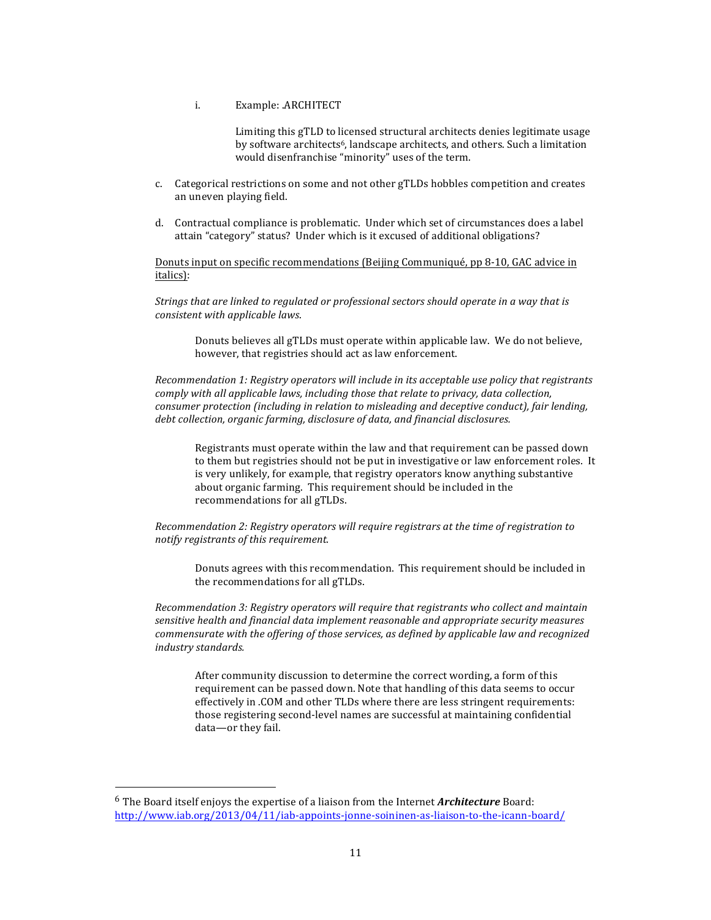## i. Example: .ARCHITECT

Limiting this gTLD to licensed structural architects denies legitimate usage by software architects<sup>6</sup>, landscape architects, and others. Such a limitation would disenfranchise "minority" uses of the term.

- c. Categorical restrictions on some and not other gTLDs hobbles competition and creates an uneven playing field.
- d. Contractual compliance is problematic. Under which set of circumstances does a label attain "category" status? Under which is it excused of additional obligations?

Donuts input on specific recommendations (Beijing Communiqué, pp 8-10, GAC advice in italics):

*Strings.that.are.linked.to.regulated.or.professional.sectors.should.operate.in.a.way.that.is. consistent.with.applicable.laws*.

Donuts believes all gTLDs must operate within applicable law. We do not believe, however, that registries should act as law enforcement.

*Recommendation.1:.Registry.operators.will.include.in.its.acceptable.use.policy.that.registrants. comply with all applicable laws, including those that relate to privacy, data collection, consumer.protection.(including.in.relation.to.misleading.and.deceptive.conduct),.fair.lending,.* debt collection, organic farming, disclosure of data, and financial disclosures.

Registrants must operate within the law and that requirement can be passed down to them but registries should not be put in investigative or law enforcement roles. It is very unlikely, for example, that registry operators know anything substantive about organic farming. This requirement should be included in the recommendations for all gTLDs.

*Recommendation.2:.Registry.operators.will.require.registrars.at.the.time.of registration.to. notify registrants of this requirement.* 

Donuts agrees with this recommendation. This requirement should be included in the recommendations for all gTLDs.

*Recommendation.3:.Registry.operators.will.require.that.registrants.who.collect.and.maintain. sensitive.health.and.financial.data.implement.reasonable.and.appropriate.security.measures.* commensurate with the offering of those services, as defined by applicable law and recognized. *industry.standards.*

After community discussion to determine the correct wording, a form of this requirement can be passed down. Note that handling of this data seems to occur effectively in .COM and other TLDs where there are less stringent requirements: those registering second-level names are successful at maintaining confidential data-or they fail.

<sup>&</sup>lt;sup>6</sup> The Board itself enjoys the expertise of a liaison from the Internet **Architecture** Board: http://www.iab.org/2013/04/11/iab-appoints-jonne-soininen-as-liaison-to-the-icann-board/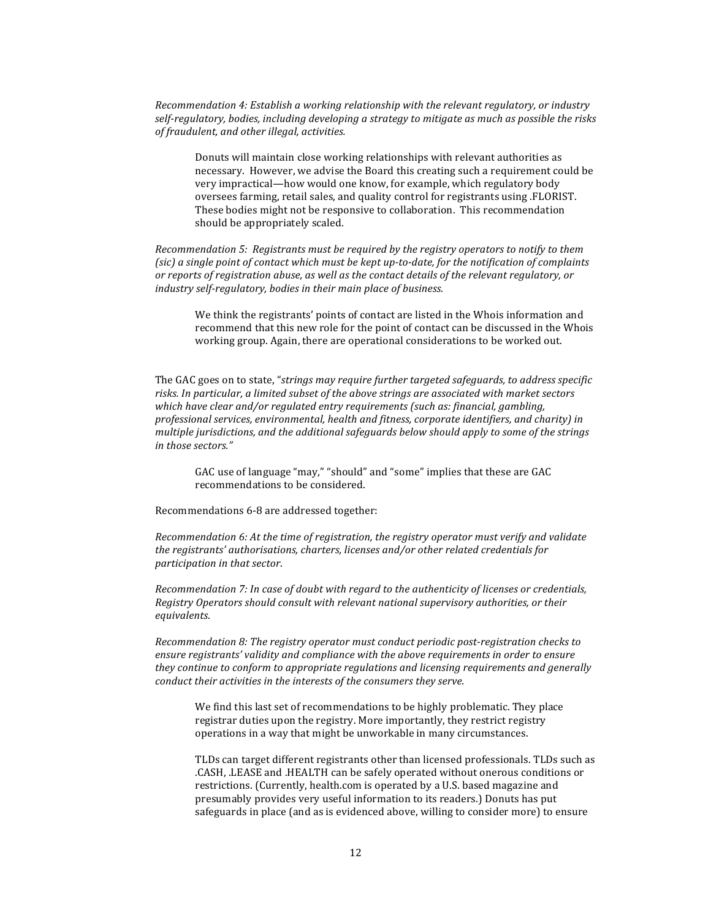*Recommendation.4:.Establish.a.working.relationship.with.the.relevant.regulatory,.or.industry.* self-regulatory, bodies, including developing a strategy to mitigate as much as possible the risks.  $of$ *fraudulent, and other illegal, activities.* 

Donuts will maintain close working relationships with relevant authorities as necessary. However, we advise the Board this creating such a requirement could be very impractical—how would one know, for example, which regulatory body oversees farming, retail sales, and quality control for registrants using .FLORIST. These bodies might not be responsive to collaboration. This recommendation should be appropriately scaled.

*Recommendation.5:..Registrants.must.be.required.by.the registry.operators.to.notify.to.them. (sic)* a single point of contact which must be kept up-to-date, for the notification of complaints *or.reports.of.registration.abuse,.as.well.as.the.contact.details.of.the.relevant.regulatory,.or. industry self-regulatory, bodies in their main place of business.* 

We think the registrants' points of contact are listed in the Whois information and recommend that this new role for the point of contact can be discussed in the Whois working group. Again, there are operational considerations to be worked out.

The GAC goes on to state, "*strings may require further targeted safeguards, to address specific*. risks. In particular, a limited subset of the above strings are associated with market sectors which have clear and/or regulated entry requirements (such as: financial, gambling, *professional services, environmental, health and fitness, corporate identifiers, and charity) in. multiple.jurisdictions,.and.the.additional.safeguards.below.should apply.to.some of.the.strings. in.those.sectors."*

GAC use of language "may," "should" and "some" implies that these are GAC recommendations to be considered.

Recommendations 6-8 are addressed together:

*Recommendation.6:.At.the.time.of.registration,.the.registry.operator.must verify.and.validate.* the registrants' authorisations, charters, licenses and/or other related credentials for *participation.in.that.sector*.

*Recommendation.7:.In.case.of.doubt.with.regard.to.the.authenticity.of.licenses.or.credentials,. Registry.Operators.should.consult.with.relevant.national.supervisory.authorities,.or.their. equivalents*.

*Recommendation 8: The registry operator must conduct periodic post-registration checks to.* ensure registrants' validity and compliance with the above requirements in order to ensure. they continue to conform to appropriate regulations and licensing requirements and generally. *conduct their activities in the interests of the consumers they serve.* 

We find this last set of recommendations to be highly problematic. They place registrar duties upon the registry. More importantly, they restrict registry operations in a way that might be unworkable in many circumstances.

TLDs can target different registrants other than licensed professionals. TLDs such as .CASH, .LEASE and .HEALTH can be safely operated without onerous conditions or restrictions. (Currently, health.com is operated by a U.S. based magazine and presumably provides very useful information to its readers.) Donuts has put safeguards in place (and as is evidenced above, willing to consider more) to ensure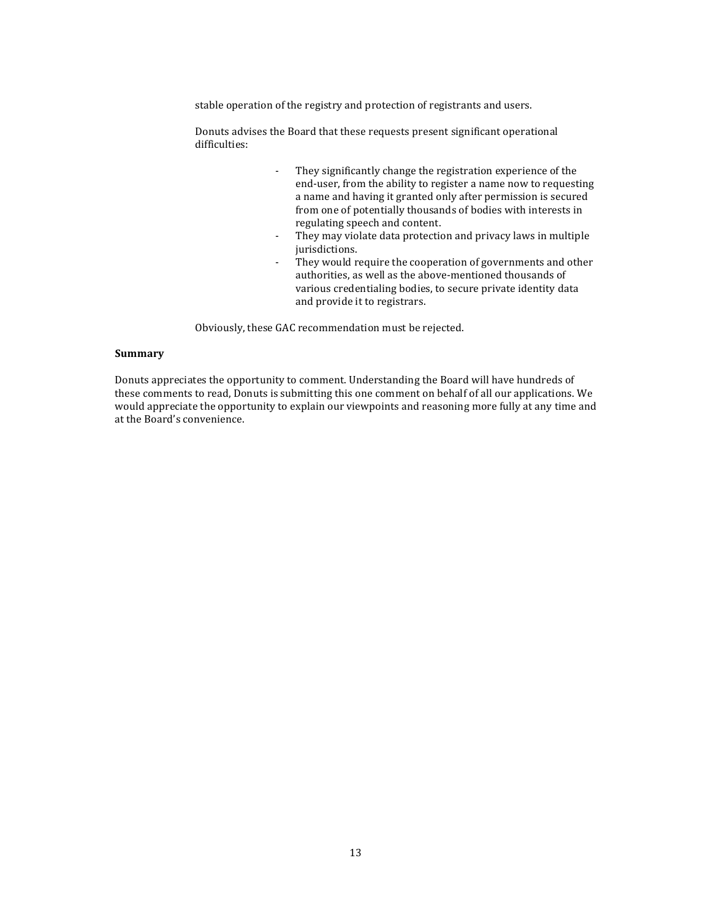stable operation of the registry and protection of registrants and users.

Donuts advises the Board that these requests present significant operational difficulties:

- They significantly change the registration experience of the end-user, from the ability to register a name now to requesting a name and having it granted only after permission is secured from one of potentially thousands of bodies with interests in regulating speech and content.
- They may violate data protection and privacy laws in multiple jurisdictions.
- They would require the cooperation of governments and other authorities, as well as the above-mentioned thousands of various credentialing bodies, to secure private identity data and provide it to registrars.

Obviously, these GAC recommendation must be rejected.

# **Summary**

Donuts appreciates the opportunity to comment. Understanding the Board will have hundreds of these comments to read, Donuts is submitting this one comment on behalf of all our applications. We would appreciate the opportunity to explain our viewpoints and reasoning more fully at any time and at the Board's convenience.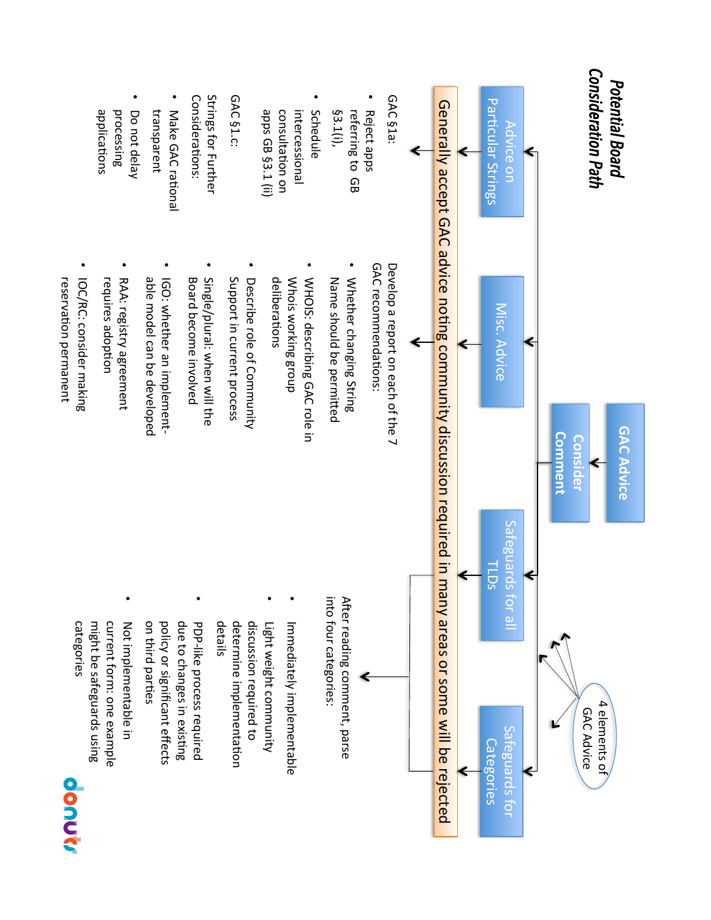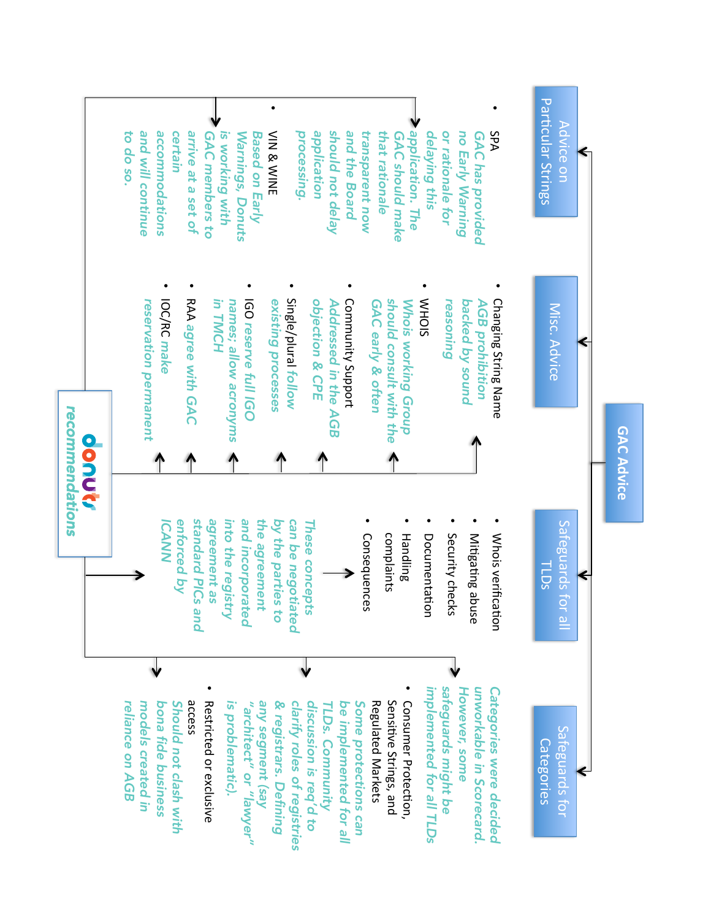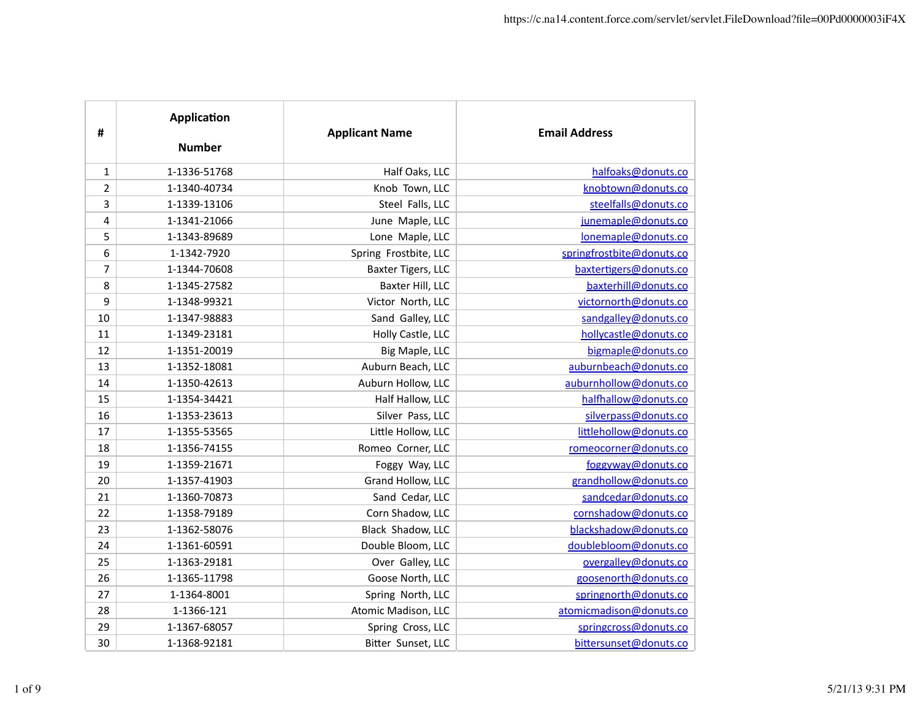| #              | <b>Application</b><br><b>Number</b> | <b>Applicant Name</b> | <b>Email Address</b>      |
|----------------|-------------------------------------|-----------------------|---------------------------|
| $\mathbf{1}$   | 1-1336-51768                        | Half Oaks, LLC        | halfoaks@donuts.co        |
| $\overline{2}$ | 1-1340-40734                        | Knob Town, LLC        | knobtown@donuts.co        |
| 3              | 1-1339-13106                        | Steel Falls, LLC      | steelfalls@donuts.co      |
| 4              | 1-1341-21066                        | June Maple, LLC       | junemaple@donuts.co       |
| 5              | 1-1343-89689                        | Lone Maple, LLC       | lonemaple@donuts.co       |
| 6              | 1-1342-7920                         | Spring Frostbite, LLC | springfrostbite@donuts.co |
| 7              | 1-1344-70608                        | Baxter Tigers, LLC    | baxtertigers@donuts.co    |
| 8              | 1-1345-27582                        | Baxter Hill, LLC      | baxterhill@donuts.co      |
| 9              | 1-1348-99321                        | Victor North, LLC     | victornorth@donuts.co     |
| 10             | 1-1347-98883                        | Sand Galley, LLC      | sandgalley@donuts.co      |
| 11             | 1-1349-23181                        | Holly Castle, LLC     | hollycastle@donuts.co     |
| 12             | 1-1351-20019                        | Big Maple, LLC        | bigmaple@donuts.co        |
| 13             | 1-1352-18081                        | Auburn Beach, LLC     | auburnbeach@donuts.co     |
| 14             | 1-1350-42613                        | Auburn Hollow, LLC    | auburnhollow@donuts.co    |
| 15             | 1-1354-34421                        | Half Hallow, LLC      | halfhallow@donuts.co      |
| 16             | 1-1353-23613                        | Silver Pass, LLC      | silverpass@donuts.co      |
| 17             | 1-1355-53565                        | Little Hollow, LLC    | littlehollow@donuts.co    |
| 18             | 1-1356-74155                        | Romeo Corner, LLC     | romeocorner@donuts.co     |
| 19             | 1-1359-21671                        | Foggy Way, LLC        | foggyway@donuts.co        |
| 20             | 1-1357-41903                        | Grand Hollow, LLC     | grandhollow@donuts.co     |
| 21             | 1-1360-70873                        | Sand Cedar, LLC       | sandcedar@donuts.co       |
| 22             | 1-1358-79189                        | Corn Shadow, LLC      | cornshadow@donuts.co      |
| 23             | 1-1362-58076                        | Black Shadow, LLC     | blackshadow@donuts.co     |
| 24             | 1-1361-60591                        | Double Bloom, LLC     | doublebloom@donuts.co     |
| 25             | 1-1363-29181                        | Over Galley, LLC      | overgalley@donuts.co      |
| 26             | 1-1365-11798                        | Goose North, LLC      | goosenorth@donuts.co      |
| 27             | 1-1364-8001                         | Spring North, LLC     | springnorth@donuts.co     |
| 28             | 1-1366-121                          | Atomic Madison, LLC   | atomicmadison@donuts.co   |
| 29             | 1-1367-68057                        | Spring Cross, LLC     | springcross@donuts.co     |
| 30             | 1-1368-92181                        | Bitter Sunset, LLC    | bittersunset@donuts.co    |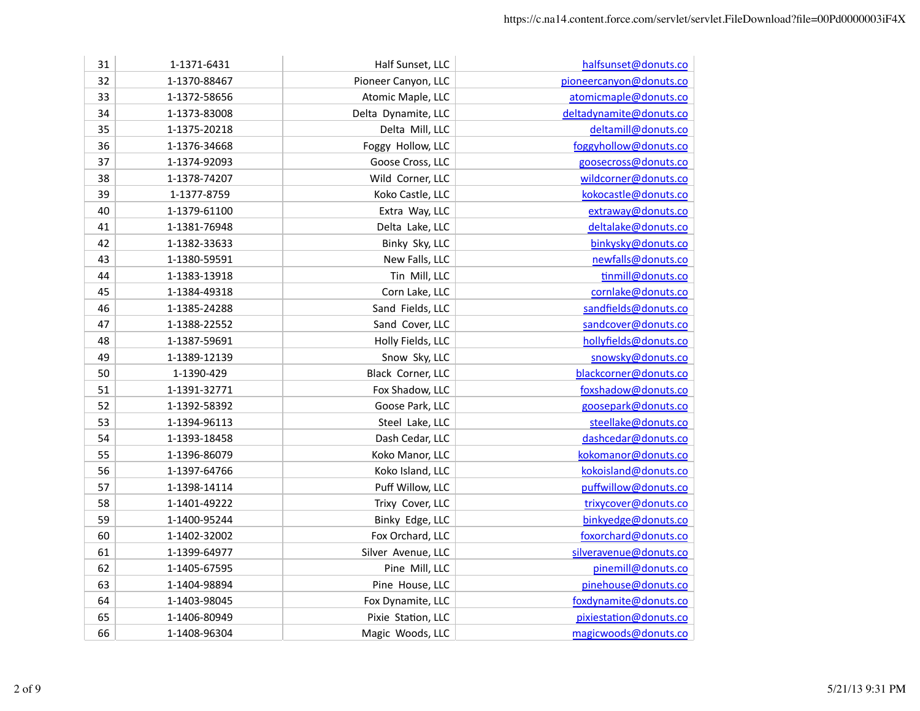| 31 | 1-1371-6431  | Half Sunset, LLC    | halfsunset@donuts.co    |
|----|--------------|---------------------|-------------------------|
| 32 | 1-1370-88467 | Pioneer Canyon, LLC | pioneercanyon@donuts.co |
| 33 | 1-1372-58656 | Atomic Maple, LLC   | atomicmaple@donuts.co   |
| 34 | 1-1373-83008 | Delta Dynamite, LLC | deltadynamite@donuts.co |
| 35 | 1-1375-20218 | Delta Mill, LLC     | deltamill@donuts.co     |
| 36 | 1-1376-34668 | Foggy Hollow, LLC   | foggyhollow@donuts.co   |
| 37 | 1-1374-92093 | Goose Cross, LLC    | goosecross@donuts.co    |
| 38 | 1-1378-74207 | Wild Corner, LLC    | wildcorner@donuts.co    |
| 39 | 1-1377-8759  | Koko Castle, LLC    | kokocastle@donuts.co    |
| 40 | 1-1379-61100 | Extra Way, LLC      | extraway@donuts.co      |
| 41 | 1-1381-76948 | Delta Lake, LLC     | deltalake@donuts.co     |
| 42 | 1-1382-33633 | Binky Sky, LLC      | binkysky@donuts.co      |
| 43 | 1-1380-59591 | New Falls, LLC      | newfalls@donuts.co      |
| 44 | 1-1383-13918 | Tin Mill, LLC       | tinmill@donuts.co       |
| 45 | 1-1384-49318 | Corn Lake, LLC      | cornlake@donuts.co      |
| 46 | 1-1385-24288 | Sand Fields, LLC    | sandfields@donuts.co    |
| 47 | 1-1388-22552 | Sand Cover, LLC     | sandcover@donuts.co     |
| 48 | 1-1387-59691 | Holly Fields, LLC   | hollyfields@donuts.co   |
| 49 | 1-1389-12139 | Snow Sky, LLC       | snowsky@donuts.co       |
| 50 | 1-1390-429   | Black Corner, LLC   | blackcorner@donuts.co   |
| 51 | 1-1391-32771 | Fox Shadow, LLC     | foxshadow@donuts.co     |
| 52 | 1-1392-58392 | Goose Park, LLC     | goosepark@donuts.co     |
| 53 | 1-1394-96113 | Steel Lake, LLC     | steellake@donuts.co     |
| 54 | 1-1393-18458 | Dash Cedar, LLC     | dashcedar@donuts.co     |
| 55 | 1-1396-86079 | Koko Manor, LLC     | kokomanor@donuts.co     |
| 56 | 1-1397-64766 | Koko Island, LLC    | kokoisland@donuts.co    |
| 57 | 1-1398-14114 | Puff Willow, LLC    | puffwillow@donuts.co    |
| 58 | 1-1401-49222 | Trixy Cover, LLC    | trixycover@donuts.co    |
| 59 | 1-1400-95244 | Binky Edge, LLC     | binkyedge@donuts.co     |
| 60 | 1-1402-32002 | Fox Orchard, LLC    | foxorchard@donuts.co    |
| 61 | 1-1399-64977 | Silver Avenue, LLC  | silveravenue@donuts.co  |
| 62 | 1-1405-67595 | Pine Mill, LLC      | pinemill@donuts.co      |
| 63 | 1-1404-98894 | Pine House, LLC     | pinehouse@donuts.co     |
| 64 | 1-1403-98045 | Fox Dynamite, LLC   | foxdynamite@donuts.co   |
| 65 | 1-1406-80949 | Pixie Station, LLC  | pixiestation@donuts.co  |
| 66 | 1-1408-96304 | Magic Woods, LLC    | magicwoods@donuts.co    |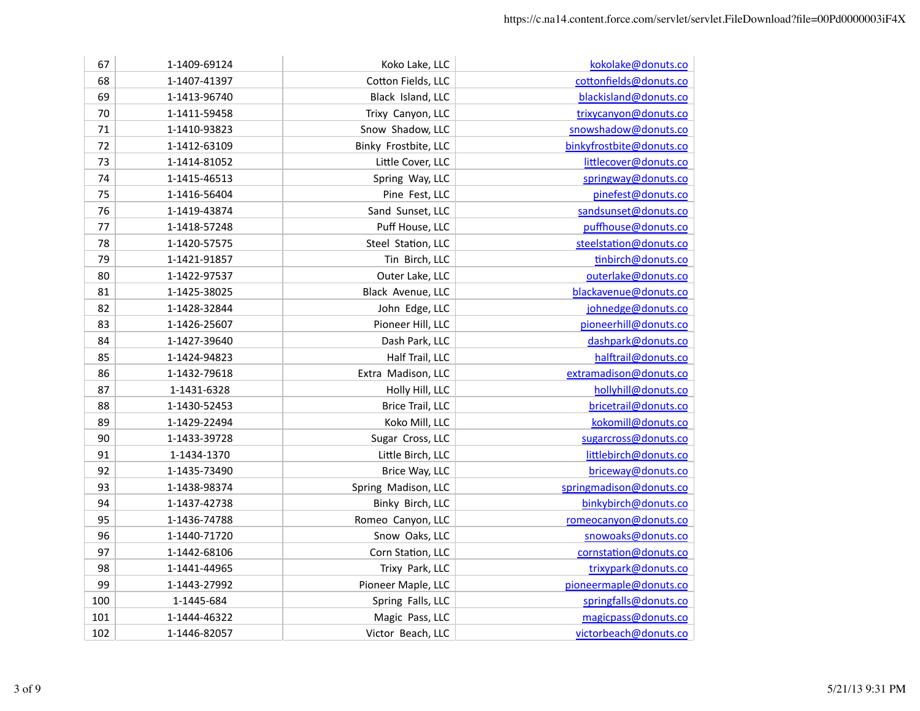| 67  | 1-1409-69124 | Koko Lake, LLC          | kokolake@donuts.co       |
|-----|--------------|-------------------------|--------------------------|
| 68  | 1-1407-41397 | Cotton Fields, LLC      | cottonfields@donuts.co   |
| 69  | 1-1413-96740 | Black Island, LLC       | blackisland@donuts.co    |
| 70  | 1-1411-59458 | Trixy Canyon, LLC       | trixycanyon@donuts.co    |
| 71  | 1-1410-93823 | Snow Shadow, LLC        | snowshadow@donuts.co     |
| 72  | 1-1412-63109 | Binky Frostbite, LLC    | binkyfrostbite@donuts.co |
| 73  | 1-1414-81052 | Little Cover, LLC       | littlecover@donuts.co    |
| 74  | 1-1415-46513 | Spring Way, LLC         | springway@donuts.co      |
| 75  | 1-1416-56404 | Pine Fest, LLC          | pinefest@donuts.co       |
| 76  | 1-1419-43874 | Sand Sunset, LLC        | sandsunset@donuts.co     |
| 77  | 1-1418-57248 | Puff House, LLC         | puffhouse@donuts.co      |
| 78  | 1-1420-57575 | Steel Station, LLC      | steelstation@donuts.co   |
| 79  | 1-1421-91857 | Tin Birch, LLC          | tinbirch@donuts.co       |
| 80  | 1-1422-97537 | Outer Lake, LLC         | outerlake@donuts.co      |
| 81  | 1-1425-38025 | Black Avenue, LLC       | blackavenue@donuts.co    |
| 82  | 1-1428-32844 | John Edge, LLC          | johnedge@donuts.co       |
| 83  | 1-1426-25607 | Pioneer Hill, LLC       | pioneerhill@donuts.co    |
| 84  | 1-1427-39640 | Dash Park, LLC          | dashpark@donuts.co       |
| 85  | 1-1424-94823 | Half Trail, LLC         | halftrail@donuts.co      |
| 86  | 1-1432-79618 | Extra Madison, LLC      | extramadison@donuts.co   |
| 87  | 1-1431-6328  | Holly Hill, LLC         | hollyhill@donuts.co      |
| 88  | 1-1430-52453 | <b>Brice Trail, LLC</b> | bricetrail@donuts.co     |
| 89  | 1-1429-22494 | Koko Mill, LLC          | kokomill@donuts.co       |
| 90  | 1-1433-39728 | Sugar Cross, LLC        | sugarcross@donuts.co     |
| 91  | 1-1434-1370  | Little Birch, LLC       | littlebirch@donuts.co    |
| 92  | 1-1435-73490 | Brice Way, LLC          | briceway@donuts.co       |
| 93  | 1-1438-98374 | Spring Madison, LLC     | springmadison@donuts.co  |
| 94  | 1-1437-42738 | Binky Birch, LLC        | binkybirch@donuts.co     |
| 95  | 1-1436-74788 | Romeo Canyon, LLC       | romeocanyon@donuts.co    |
| 96  | 1-1440-71720 | Snow Oaks, LLC          | snowoaks@donuts.co       |
| 97  | 1-1442-68106 | Corn Station, LLC       | cornstation@donuts.co    |
| 98  | 1-1441-44965 | Trixy Park, LLC         | trixypark@donuts.co      |
| 99  | 1-1443-27992 | Pioneer Maple, LLC      | pioneermaple@donuts.co   |
| 100 | 1-1445-684   | Spring Falls, LLC       | springfalls@donuts.co    |
| 101 | 1-1444-46322 | Magic Pass, LLC         | magicpass@donuts.co      |
| 102 | 1-1446-82057 | Victor Beach, LLC       | victorbeach@donuts.co    |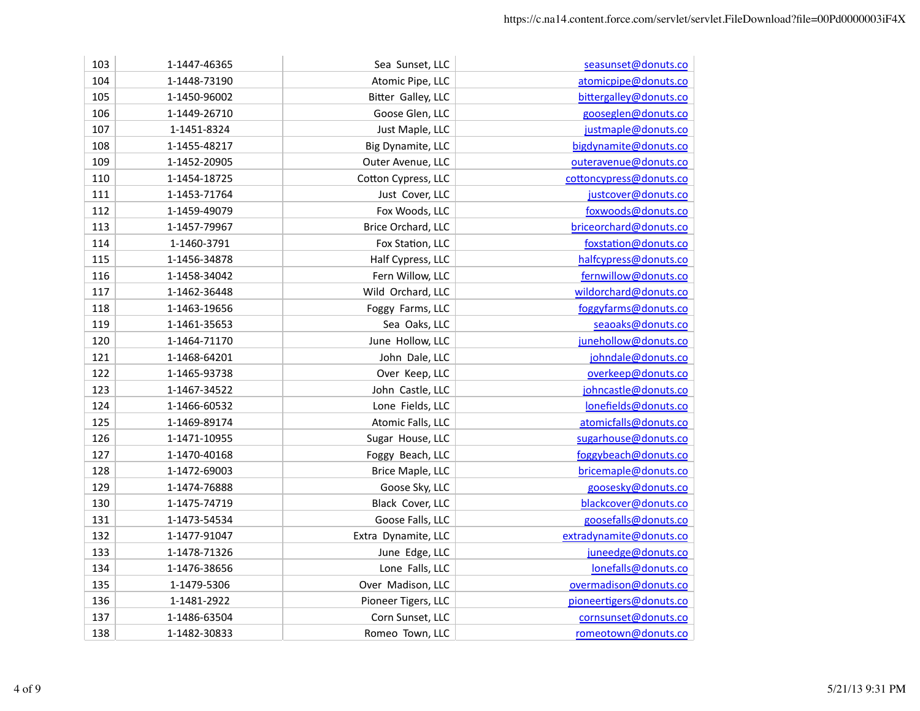| 103 | 1-1447-46365 | Sea Sunset, LLC     | seasunset@donuts.co     |
|-----|--------------|---------------------|-------------------------|
| 104 | 1-1448-73190 | Atomic Pipe, LLC    | atomicpipe@donuts.co    |
| 105 | 1-1450-96002 | Bitter Galley, LLC  | bittergalley@donuts.co  |
| 106 | 1-1449-26710 | Goose Glen, LLC     | gooseglen@donuts.co     |
| 107 | 1-1451-8324  | Just Maple, LLC     | justmaple@donuts.co     |
| 108 | 1-1455-48217 | Big Dynamite, LLC   | bigdynamite@donuts.co   |
| 109 | 1-1452-20905 | Outer Avenue, LLC   | outeravenue@donuts.co   |
| 110 | 1-1454-18725 | Cotton Cypress, LLC | cottoncypress@donuts.co |
| 111 | 1-1453-71764 | Just Cover, LLC     | justcover@donuts.co     |
| 112 | 1-1459-49079 | Fox Woods, LLC      | foxwoods@donuts.co      |
| 113 | 1-1457-79967 | Brice Orchard, LLC  | briceorchard@donuts.co  |
| 114 | 1-1460-3791  | Fox Station, LLC    | foxstation@donuts.co    |
| 115 | 1-1456-34878 | Half Cypress, LLC   | halfcypress@donuts.co   |
| 116 | 1-1458-34042 | Fern Willow, LLC    | fernwillow@donuts.co    |
| 117 | 1-1462-36448 | Wild Orchard, LLC   | wildorchard@donuts.co   |
| 118 | 1-1463-19656 | Foggy Farms, LLC    | foggyfarms@donuts.co    |
| 119 | 1-1461-35653 | Sea Oaks, LLC       | seaoaks@donuts.co       |
| 120 | 1-1464-71170 | June Hollow, LLC    | junehollow@donuts.co    |
| 121 | 1-1468-64201 | John Dale, LLC      | johndale@donuts.co      |
| 122 | 1-1465-93738 | Over Keep, LLC      | overkeep@donuts.co      |
| 123 | 1-1467-34522 | John Castle, LLC    | johncastle@donuts.co    |
| 124 | 1-1466-60532 | Lone Fields, LLC    | lonefields@donuts.co    |
| 125 | 1-1469-89174 | Atomic Falls, LLC   | atomicfalls@donuts.co   |
| 126 | 1-1471-10955 | Sugar House, LLC    | sugarhouse@donuts.co    |
| 127 | 1-1470-40168 | Foggy Beach, LLC    | foggybeach@donuts.co    |
| 128 | 1-1472-69003 | Brice Maple, LLC    | bricemaple@donuts.co    |
| 129 | 1-1474-76888 | Goose Sky, LLC      | goosesky@donuts.co      |
| 130 | 1-1475-74719 | Black Cover, LLC    | blackcover@donuts.co    |
| 131 | 1-1473-54534 | Goose Falls, LLC    | goosefalls@donuts.co    |
| 132 | 1-1477-91047 | Extra Dynamite, LLC | extradynamite@donuts.co |
| 133 | 1-1478-71326 | June Edge, LLC      | juneedge@donuts.co      |
| 134 | 1-1476-38656 | Lone Falls, LLC     | lonefalls@donuts.co     |
| 135 | 1-1479-5306  | Over Madison, LLC   | overmadison@donuts.co   |
| 136 | 1-1481-2922  | Pioneer Tigers, LLC | pioneertigers@donuts.co |
| 137 | 1-1486-63504 | Corn Sunset, LLC    | cornsunset@donuts.co    |
| 138 | 1-1482-30833 | Romeo Town, LLC     | romeotown@donuts.co     |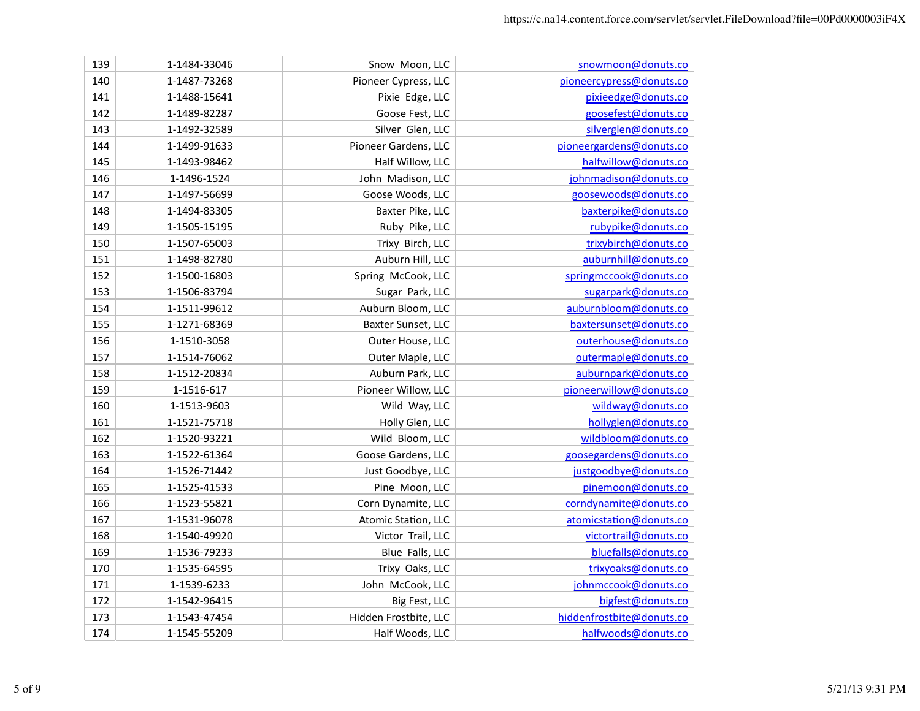| 139 | 1-1484-33046 | Snow Moon, LLC        | snowmoon@donuts.co        |
|-----|--------------|-----------------------|---------------------------|
| 140 | 1-1487-73268 | Pioneer Cypress, LLC  | pioneercypress@donuts.co  |
| 141 | 1-1488-15641 | Pixie Edge, LLC       | pixieedge@donuts.co       |
| 142 | 1-1489-82287 | Goose Fest, LLC       | goosefest@donuts.co       |
| 143 | 1-1492-32589 | Silver Glen, LLC      | silverglen@donuts.co      |
| 144 | 1-1499-91633 | Pioneer Gardens, LLC  | pioneergardens@donuts.co  |
| 145 | 1-1493-98462 | Half Willow, LLC      | halfwillow@donuts.co      |
| 146 | 1-1496-1524  | John Madison, LLC     | johnmadison@donuts.co     |
| 147 | 1-1497-56699 | Goose Woods, LLC      | goosewoods@donuts.co      |
| 148 | 1-1494-83305 | Baxter Pike, LLC      | baxterpike@donuts.co      |
| 149 | 1-1505-15195 | Ruby Pike, LLC        | rubypike@donuts.co        |
| 150 | 1-1507-65003 | Trixy Birch, LLC      | trixybirch@donuts.co      |
| 151 | 1-1498-82780 | Auburn Hill, LLC      | auburnhill@donuts.co      |
| 152 | 1-1500-16803 | Spring McCook, LLC    | springmccook@donuts.co    |
| 153 | 1-1506-83794 | Sugar Park, LLC       | sugarpark@donuts.co       |
| 154 | 1-1511-99612 | Auburn Bloom, LLC     | auburnbloom@donuts.co     |
| 155 | 1-1271-68369 | Baxter Sunset, LLC    | baxtersunset@donuts.co    |
| 156 | 1-1510-3058  | Outer House, LLC      | outerhouse@donuts.co      |
| 157 | 1-1514-76062 | Outer Maple, LLC      | outermaple@donuts.co      |
| 158 | 1-1512-20834 | Auburn Park, LLC      | auburnpark@donuts.co      |
| 159 | 1-1516-617   | Pioneer Willow, LLC   | pioneerwillow@donuts.co   |
| 160 | 1-1513-9603  | Wild Way, LLC         | wildway@donuts.co         |
| 161 | 1-1521-75718 | Holly Glen, LLC       | hollyglen@donuts.co       |
| 162 | 1-1520-93221 | Wild Bloom, LLC       | wildbloom@donuts.co       |
| 163 | 1-1522-61364 | Goose Gardens, LLC    | goosegardens@donuts.co    |
| 164 | 1-1526-71442 | Just Goodbye, LLC     | justgoodbye@donuts.co     |
| 165 | 1-1525-41533 | Pine Moon, LLC        | pinemoon@donuts.co        |
| 166 | 1-1523-55821 | Corn Dynamite, LLC    | corndynamite@donuts.co    |
| 167 | 1-1531-96078 | Atomic Station, LLC   | atomicstation@donuts.co   |
| 168 | 1-1540-49920 | Victor Trail, LLC     | victortrail@donuts.co     |
| 169 | 1-1536-79233 | Blue Falls, LLC       | bluefalls@donuts.co       |
| 170 | 1-1535-64595 | Trixy Oaks, LLC       | trixyoaks@donuts.co       |
| 171 | 1-1539-6233  | John McCook, LLC      | johnmccook@donuts.co      |
| 172 | 1-1542-96415 | Big Fest, LLC         | bigfest@donuts.co         |
| 173 | 1-1543-47454 | Hidden Frostbite, LLC | hiddenfrostbite@donuts.co |
| 174 | 1-1545-55209 | Half Woods, LLC       | halfwoods@donuts.co       |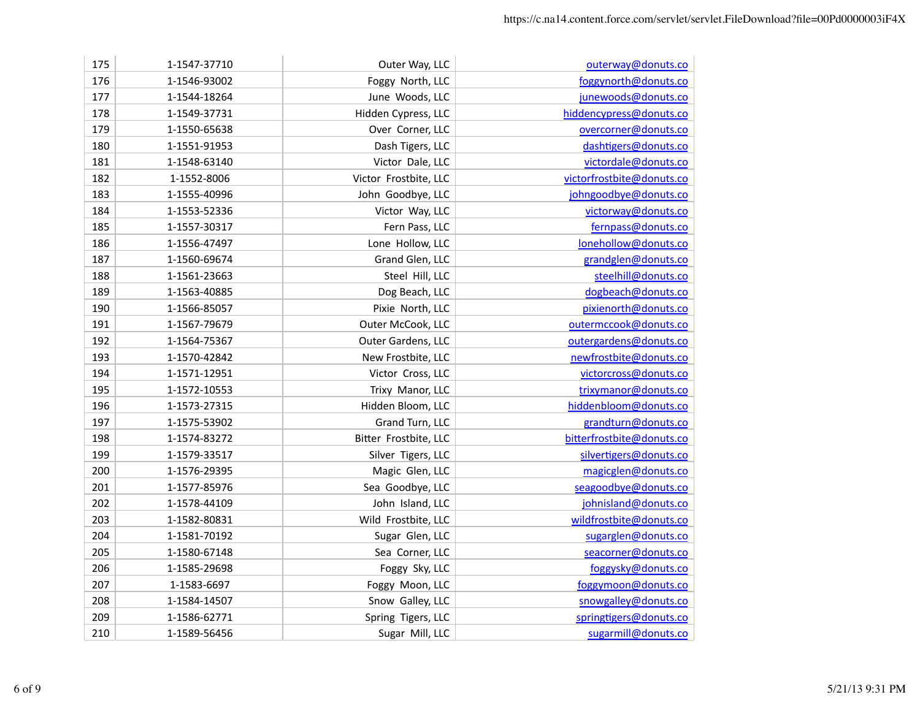| 175 | 1-1547-37710 | Outer Way, LLC        | outerway@donuts.co        |
|-----|--------------|-----------------------|---------------------------|
| 176 | 1-1546-93002 | Foggy North, LLC      | foggynorth@donuts.co      |
| 177 | 1-1544-18264 | June Woods, LLC       | junewoods@donuts.co       |
| 178 | 1-1549-37731 | Hidden Cypress, LLC   | hiddencypress@donuts.co   |
| 179 | 1-1550-65638 | Over Corner, LLC      | overcorner@donuts.co      |
| 180 | 1-1551-91953 | Dash Tigers, LLC      | dashtigers@donuts.co      |
| 181 | 1-1548-63140 | Victor Dale, LLC      | victordale@donuts.co      |
| 182 | 1-1552-8006  | Victor Frostbite, LLC | victorfrostbite@donuts.co |
| 183 | 1-1555-40996 | John Goodbye, LLC     | johngoodbye@donuts.co     |
| 184 | 1-1553-52336 | Victor Way, LLC       | victorway@donuts.co       |
| 185 | 1-1557-30317 | Fern Pass, LLC        | fernpass@donuts.co        |
| 186 | 1-1556-47497 | Lone Hollow, LLC      | lonehollow@donuts.co      |
| 187 | 1-1560-69674 | Grand Glen, LLC       | grandglen@donuts.co       |
| 188 | 1-1561-23663 | Steel Hill, LLC       | steelhill@donuts.co       |
| 189 | 1-1563-40885 | Dog Beach, LLC        | dogbeach@donuts.co        |
| 190 | 1-1566-85057 | Pixie North, LLC      | pixienorth@donuts.co      |
| 191 | 1-1567-79679 | Outer McCook, LLC     | outermccook@donuts.co     |
| 192 | 1-1564-75367 | Outer Gardens, LLC    | outergardens@donuts.co    |
| 193 | 1-1570-42842 | New Frostbite, LLC    | newfrostbite@donuts.co    |
| 194 | 1-1571-12951 | Victor Cross, LLC     | victorcross@donuts.co     |
| 195 | 1-1572-10553 | Trixy Manor, LLC      | trixymanor@donuts.co      |
| 196 | 1-1573-27315 | Hidden Bloom, LLC     | hiddenbloom@donuts.co     |
| 197 | 1-1575-53902 | Grand Turn, LLC       | grandturn@donuts.co       |
| 198 | 1-1574-83272 | Bitter Frostbite, LLC | bitterfrostbite@donuts.co |
| 199 | 1-1579-33517 | Silver Tigers, LLC    | silvertigers@donuts.co    |
| 200 | 1-1576-29395 | Magic Glen, LLC       | magicglen@donuts.co       |
| 201 | 1-1577-85976 | Sea Goodbye, LLC      | seagoodbye@donuts.co      |
| 202 | 1-1578-44109 | John Island, LLC      | johnisland@donuts.co      |
| 203 | 1-1582-80831 | Wild Frostbite, LLC   | wildfrostbite@donuts.co   |
| 204 | 1-1581-70192 | Sugar Glen, LLC       | sugarglen@donuts.co       |
| 205 | 1-1580-67148 | Sea Corner, LLC       | seacorner@donuts.co       |
| 206 | 1-1585-29698 | Foggy Sky, LLC        | foggysky@donuts.co        |
| 207 | 1-1583-6697  | Foggy Moon, LLC       | foggymoon@donuts.co       |
| 208 | 1-1584-14507 | Snow Galley, LLC      | snowgalley@donuts.co      |
| 209 | 1-1586-62771 | Spring Tigers, LLC    | springtigers@donuts.co    |
| 210 | 1-1589-56456 | Sugar Mill, LLC       | sugarmill@donuts.co       |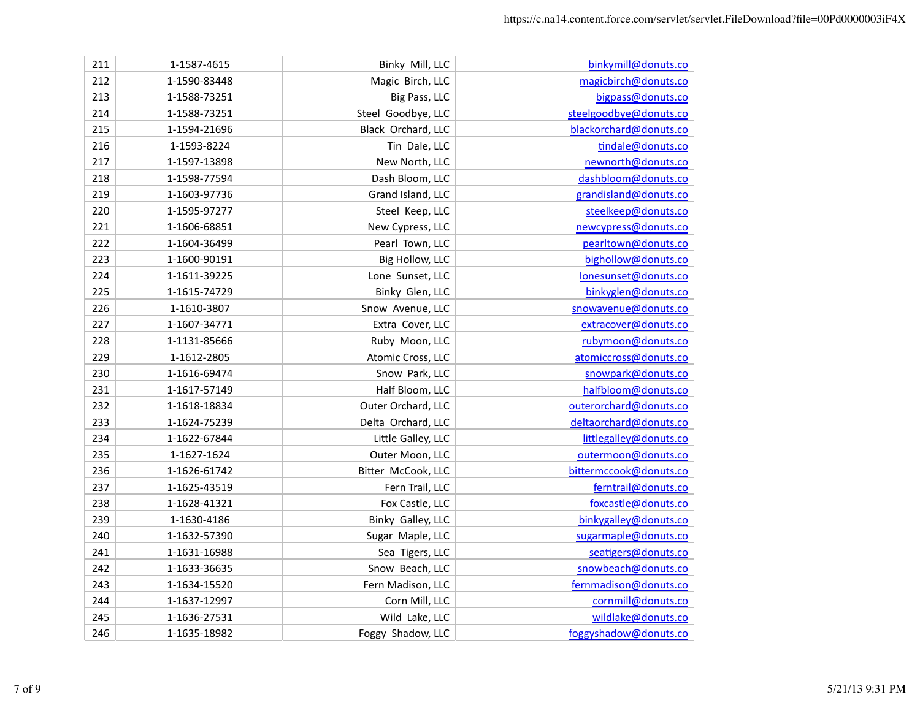| 211 | 1-1587-4615  | Binky Mill, LLC    | binkymill@donuts.co    |
|-----|--------------|--------------------|------------------------|
| 212 | 1-1590-83448 | Magic Birch, LLC   | magicbirch@donuts.co   |
| 213 | 1-1588-73251 | Big Pass, LLC      | bigpass@donuts.co      |
| 214 | 1-1588-73251 | Steel Goodbye, LLC | steelgoodbye@donuts.co |
| 215 | 1-1594-21696 | Black Orchard, LLC | blackorchard@donuts.co |
| 216 | 1-1593-8224  | Tin Dale, LLC      | tindale@donuts.co      |
| 217 | 1-1597-13898 | New North, LLC     | newnorth@donuts.co     |
| 218 | 1-1598-77594 | Dash Bloom, LLC    | dashbloom@donuts.co    |
| 219 | 1-1603-97736 | Grand Island, LLC  | grandisland@donuts.co  |
| 220 | 1-1595-97277 | Steel Keep, LLC    | steelkeep@donuts.co    |
| 221 | 1-1606-68851 | New Cypress, LLC   | newcypress@donuts.co   |
| 222 | 1-1604-36499 | Pearl Town, LLC    | pearltown@donuts.co    |
| 223 | 1-1600-90191 | Big Hollow, LLC    | bighollow@donuts.co    |
| 224 | 1-1611-39225 | Lone Sunset, LLC   | lonesunset@donuts.co   |
| 225 | 1-1615-74729 | Binky Glen, LLC    | binkyglen@donuts.co    |
| 226 | 1-1610-3807  | Snow Avenue, LLC   | snowavenue@donuts.co   |
| 227 | 1-1607-34771 | Extra Cover, LLC   | extracover@donuts.co   |
| 228 | 1-1131-85666 | Ruby Moon, LLC     | rubymoon@donuts.co     |
| 229 | 1-1612-2805  | Atomic Cross, LLC  | atomiccross@donuts.co  |
| 230 | 1-1616-69474 | Snow Park, LLC     | snowpark@donuts.co     |
| 231 | 1-1617-57149 | Half Bloom, LLC    | halfbloom@donuts.co    |
| 232 | 1-1618-18834 | Outer Orchard, LLC | outerorchard@donuts.co |
| 233 | 1-1624-75239 | Delta Orchard, LLC | deltaorchard@donuts.co |
| 234 | 1-1622-67844 | Little Galley, LLC | littlegalley@donuts.co |
| 235 | 1-1627-1624  | Outer Moon, LLC    | outermoon@donuts.co    |
| 236 | 1-1626-61742 | Bitter McCook, LLC | bittermccook@donuts.co |
| 237 | 1-1625-43519 | Fern Trail, LLC    | ferntrail@donuts.co    |
| 238 | 1-1628-41321 | Fox Castle, LLC    | foxcastle@donuts.co    |
| 239 | 1-1630-4186  | Binky Galley, LLC  | binkygalley@donuts.co  |
| 240 | 1-1632-57390 | Sugar Maple, LLC   | sugarmaple@donuts.co   |
| 241 | 1-1631-16988 | Sea Tigers, LLC    | seatigers@donuts.co    |
| 242 | 1-1633-36635 | Snow Beach, LLC    | snowbeach@donuts.co    |
| 243 | 1-1634-15520 | Fern Madison, LLC  | fernmadison@donuts.co  |
| 244 | 1-1637-12997 | Corn Mill, LLC     | cornmill@donuts.co     |
| 245 | 1-1636-27531 | Wild Lake, LLC     | wildlake@donuts.co     |
| 246 | 1-1635-18982 | Foggy Shadow, LLC  | foggyshadow@donuts.co  |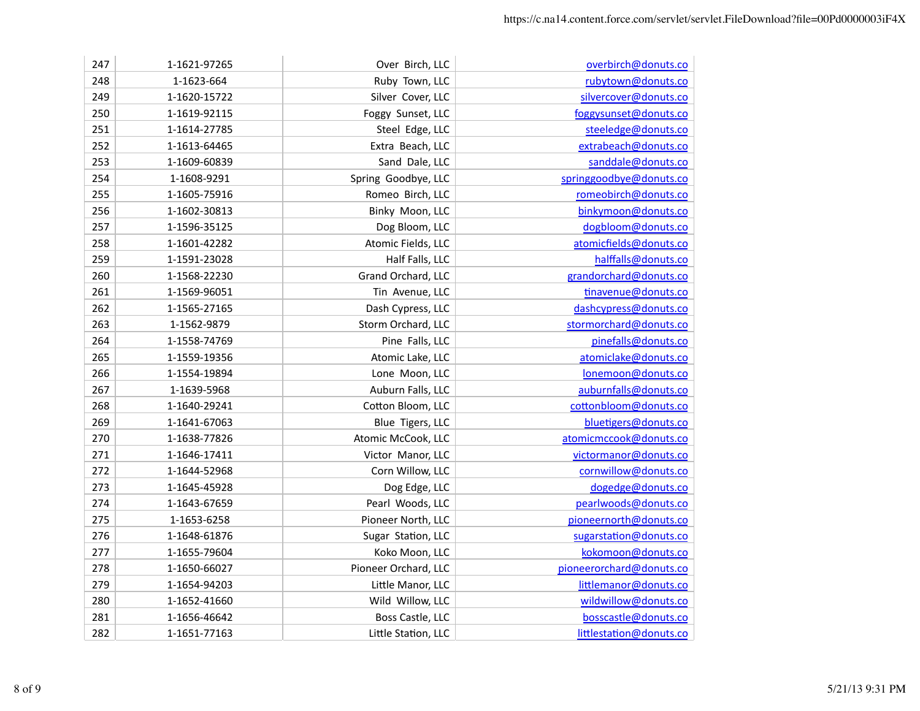| 247 | 1-1621-97265 | Over Birch, LLC      | overbirch@donuts.co      |
|-----|--------------|----------------------|--------------------------|
| 248 | 1-1623-664   | Ruby Town, LLC       | rubytown@donuts.co       |
| 249 | 1-1620-15722 | Silver Cover, LLC    | silvercover@donuts.co    |
| 250 | 1-1619-92115 | Foggy Sunset, LLC    | foggysunset@donuts.co    |
| 251 | 1-1614-27785 | Steel Edge, LLC      | steeledge@donuts.co      |
| 252 | 1-1613-64465 | Extra Beach, LLC     | extrabeach@donuts.co     |
| 253 | 1-1609-60839 | Sand Dale, LLC       | sanddale@donuts.co       |
| 254 | 1-1608-9291  | Spring Goodbye, LLC  | springgoodbye@donuts.co  |
| 255 | 1-1605-75916 | Romeo Birch, LLC     | romeobirch@donuts.co     |
| 256 | 1-1602-30813 | Binky Moon, LLC      | binkymoon@donuts.co      |
| 257 | 1-1596-35125 | Dog Bloom, LLC       | dogbloom@donuts.co       |
| 258 | 1-1601-42282 | Atomic Fields, LLC   | atomicfields@donuts.co   |
| 259 | 1-1591-23028 | Half Falls, LLC      | halffalls@donuts.co      |
| 260 | 1-1568-22230 | Grand Orchard, LLC   | grandorchard@donuts.co   |
| 261 | 1-1569-96051 | Tin Avenue, LLC      | tinavenue@donuts.co      |
| 262 | 1-1565-27165 | Dash Cypress, LLC    | dashcypress@donuts.co    |
| 263 | 1-1562-9879  | Storm Orchard, LLC   | stormorchard@donuts.co   |
| 264 | 1-1558-74769 | Pine Falls, LLC      | pinefalls@donuts.co      |
| 265 | 1-1559-19356 | Atomic Lake, LLC     | atomiclake@donuts.co     |
| 266 | 1-1554-19894 | Lone Moon, LLC       | lonemoon@donuts.co       |
| 267 | 1-1639-5968  | Auburn Falls, LLC    | auburnfalls@donuts.co    |
| 268 | 1-1640-29241 | Cotton Bloom, LLC    | cottonbloom@donuts.co    |
| 269 | 1-1641-67063 | Blue Tigers, LLC     | bluetigers@donuts.co     |
| 270 | 1-1638-77826 | Atomic McCook, LLC   | atomicmccook@donuts.co   |
| 271 | 1-1646-17411 | Victor Manor, LLC    | victormanor@donuts.co    |
| 272 | 1-1644-52968 | Corn Willow, LLC     | cornwillow@donuts.co     |
| 273 | 1-1645-45928 | Dog Edge, LLC        | dogedge@donuts.co        |
| 274 | 1-1643-67659 | Pearl Woods, LLC     | pearlwoods@donuts.co     |
| 275 | 1-1653-6258  | Pioneer North, LLC   | pioneernorth@donuts.co   |
| 276 | 1-1648-61876 | Sugar Station, LLC   | sugarstation@donuts.co   |
| 277 | 1-1655-79604 | Koko Moon, LLC       | kokomoon@donuts.co       |
| 278 | 1-1650-66027 | Pioneer Orchard, LLC | pioneerorchard@donuts.co |
| 279 | 1-1654-94203 | Little Manor, LLC    | littlemanor@donuts.co    |
| 280 | 1-1652-41660 | Wild Willow, LLC     | wildwillow@donuts.co     |
| 281 | 1-1656-46642 | Boss Castle, LLC     | bosscastle@donuts.co     |
| 282 | 1-1651-77163 | Little Station, LLC  | littlestation@donuts.co  |